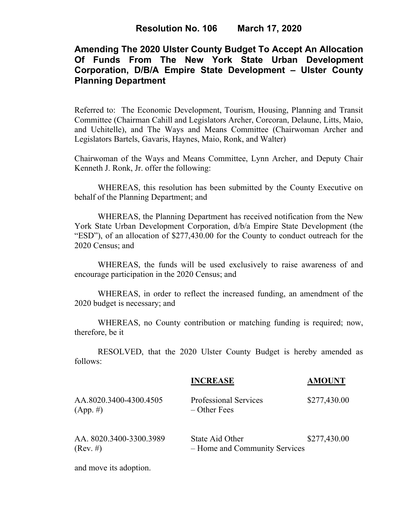# **Amending The 2020 Ulster County Budget To Accept An Allocation Of Funds From The New York State Urban Development Corporation, D/B/A Empire State Development – Ulster County Planning Department**

Referred to: The Economic Development, Tourism, Housing, Planning and Transit Committee (Chairman Cahill and Legislators Archer, Corcoran, Delaune, Litts, Maio, and Uchitelle), and The Ways and Means Committee (Chairwoman Archer and Legislators Bartels, Gavaris, Haynes, Maio, Ronk, and Walter)

Chairwoman of the Ways and Means Committee, Lynn Archer, and Deputy Chair Kenneth J. Ronk, Jr. offer the following:

WHEREAS, this resolution has been submitted by the County Executive on behalf of the Planning Department; and

WHEREAS, the Planning Department has received notification from the New York State Urban Development Corporation, d/b/a Empire State Development (the "ESD"), of an allocation of \$277,430.00 for the County to conduct outreach for the 2020 Census; and

WHEREAS, the funds will be used exclusively to raise awareness of and encourage participation in the 2020 Census; and

WHEREAS, in order to reflect the increased funding, an amendment of the 2020 budget is necessary; and

WHEREAS, no County contribution or matching funding is required; now, therefore, be it

RESOLVED, that the 2020 Ulster County Budget is hereby amended as follows:

|                                        | <b>INCREASE</b>                                  | <b>AMOUNT</b> |
|----------------------------------------|--------------------------------------------------|---------------|
| AA.8020.3400-4300.4505<br>$(App. \#)$  | Professional Services<br>$-$ Other Fees          | \$277,430.00  |
| AA. 8020.3400-3300.3989<br>$(Rev. \#)$ | State Aid Other<br>- Home and Community Services | \$277,430.00  |
|                                        |                                                  |               |

and move its adoption.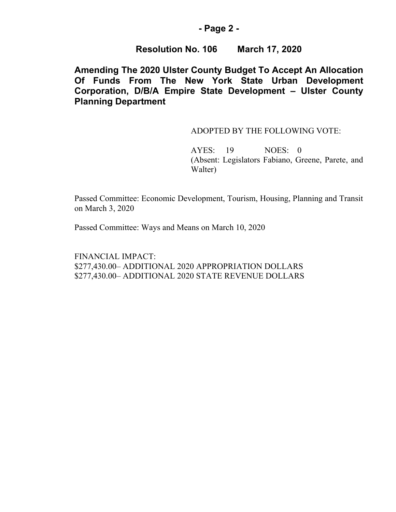### **- Page 2 -**

### **Resolution No. 106 March 17, 2020**

# **Amending The 2020 Ulster County Budget To Accept An Allocation Of Funds From The New York State Urban Development Corporation, D/B/A Empire State Development – Ulster County Planning Department**

#### ADOPTED BY THE FOLLOWING VOTE:

AYES: 19 NOES: 0 (Absent: Legislators Fabiano, Greene, Parete, and Walter)

Passed Committee: Economic Development, Tourism, Housing, Planning and Transit on March 3, 2020

Passed Committee: Ways and Means on March 10, 2020

FINANCIAL IMPACT: \$277,430.00– ADDITIONAL 2020 APPROPRIATION DOLLARS \$277,430.00– ADDITIONAL 2020 STATE REVENUE DOLLARS